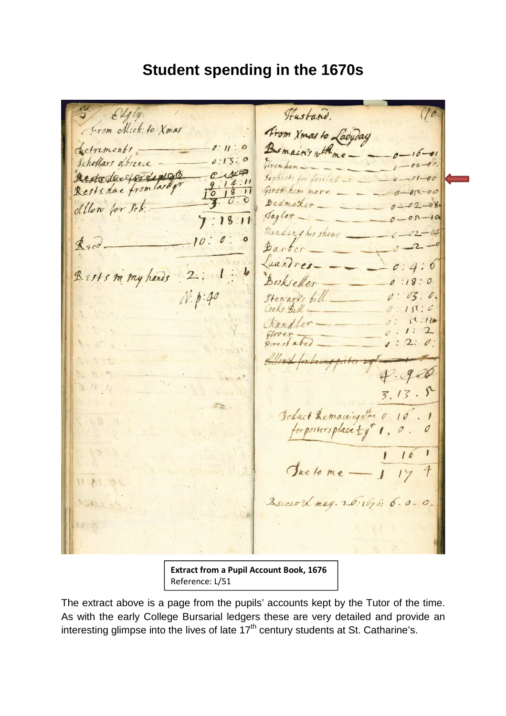## **Student spending in the 1670s**

Hustand. Edgly From Mich: to Xmas Trom Xmas to Ladyday Bemain's with me-Setrements  $0:11:0$ Schollars obrence - $0.13.$ Rededected Lings Rests du from lard qu Given him Bedmark Allow for Set ... Taylor Mending his shoes\_  $k_{sc}$ Barton Luindres. Rests m my hands Bookseller  $0:18:0$  $N.p.40$  $03:0.$ Stewart's bill  $180:0$  $1:16$  $\prime$ :  $\mathbf{C}$  $0:2:0.$  $986$  $3.13.5$ Seduct Lemaningnine 0 10 for portersplace ty" 1, 0. Sue to me - 1  $\overline{4}$ Zecewood may. 2.6: 1696. 6.0.0.

**Extract from a Pupil Account Book, 1676** Reference: L/51

The extract above is a page from the pupils' accounts kept by the Tutor of the time. As with the early College Bursarial ledgers these are very detailed and provide an interesting glimpse into the lives of late  $17<sup>th</sup>$  century students at St. Catharine's.